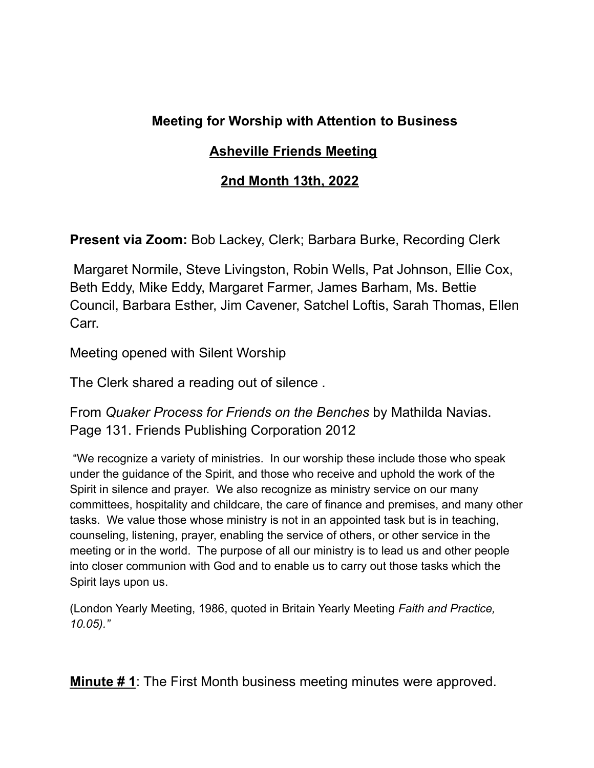# **Meeting for Worship with Attention to Business**

## **Asheville Friends Meeting**

## **2nd Month 13th, 2022**

**Present via Zoom:** Bob Lackey, Clerk; Barbara Burke, Recording Clerk

Margaret Normile, Steve Livingston, Robin Wells, Pat Johnson, Ellie Cox, Beth Eddy, Mike Eddy, Margaret Farmer, James Barham, Ms. Bettie Council, Barbara Esther, Jim Cavener, Satchel Loftis, Sarah Thomas, Ellen Carr.

Meeting opened with Silent Worship

The Clerk shared a reading out of silence .

From *Quaker Process for Friends on the Benches* by Mathilda Navias. Page 131. Friends Publishing Corporation 2012

"We recognize a variety of ministries. In our worship these include those who speak under the guidance of the Spirit, and those who receive and uphold the work of the Spirit in silence and prayer. We also recognize as ministry service on our many committees, hospitality and childcare, the care of finance and premises, and many other tasks. We value those whose ministry is not in an appointed task but is in teaching, counseling, listening, prayer, enabling the service of others, or other service in the meeting or in the world. The purpose of all our ministry is to lead us and other people into closer communion with God and to enable us to carry out those tasks which the Spirit lays upon us.

(London Yearly Meeting, 1986, quoted in Britain Yearly Meeting *Faith and Practice, 10.05)."*

**Minute # 1**: The First Month business meeting minutes were approved.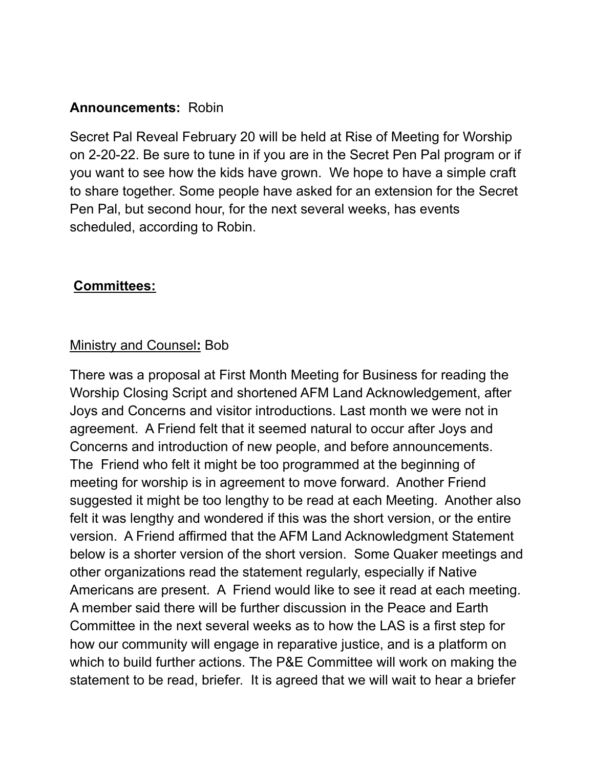## **Announcements:** Robin

Secret Pal Reveal February 20 will be held at Rise of Meeting for Worship on 2-20-22. Be sure to tune in if you are in the Secret Pen Pal program or if you want to see how the kids have grown. We hope to have a simple craft to share together. Some people have asked for an extension for the Secret Pen Pal, but second hour, for the next several weeks, has events scheduled, according to Robin.

### **Committees:**

### Ministry and Counsel**:** Bob

There was a proposal at First Month Meeting for Business for reading the Worship Closing Script and shortened AFM Land Acknowledgement, after Joys and Concerns and visitor introductions. Last month we were not in agreement. A Friend felt that it seemed natural to occur after Joys and Concerns and introduction of new people, and before announcements. The Friend who felt it might be too programmed at the beginning of meeting for worship is in agreement to move forward. Another Friend suggested it might be too lengthy to be read at each Meeting. Another also felt it was lengthy and wondered if this was the short version, or the entire version. A Friend affirmed that the AFM Land Acknowledgment Statement below is a shorter version of the short version. Some Quaker meetings and other organizations read the statement regularly, especially if Native Americans are present. A Friend would like to see it read at each meeting. A member said there will be further discussion in the Peace and Earth Committee in the next several weeks as to how the LAS is a first step for how our community will engage in reparative justice, and is a platform on which to build further actions. The P&E Committee will work on making the statement to be read, briefer. It is agreed that we will wait to hear a briefer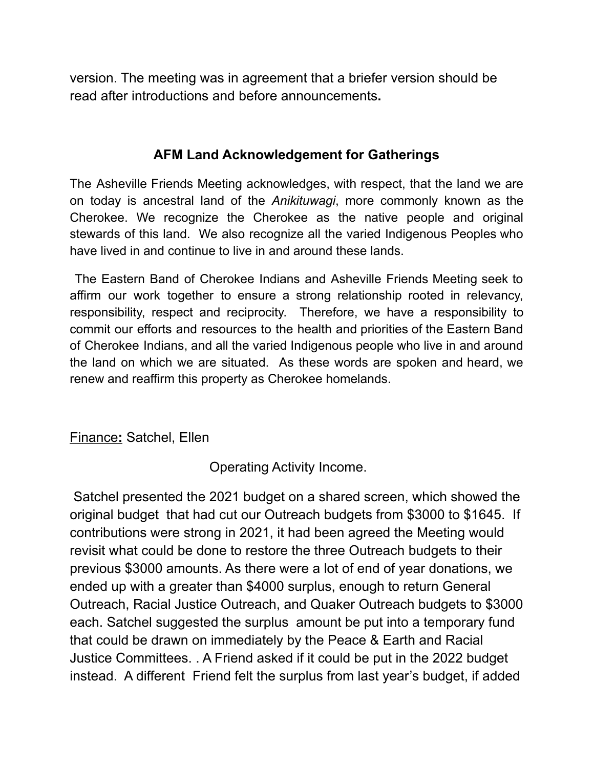version. The meeting was in agreement that a briefer version should be read after introductions and before announcements**.**

## **AFM Land Acknowledgement for Gatherings**

The Asheville Friends Meeting acknowledges, with respect, that the land we are on today is ancestral land of the *Anikituwagi*, more commonly known as the Cherokee. We recognize the Cherokee as the native people and original stewards of this land. We also recognize all the varied Indigenous Peoples who have lived in and continue to live in and around these lands.

The Eastern Band of Cherokee Indians and Asheville Friends Meeting seek to affirm our work together to ensure a strong relationship rooted in relevancy, responsibility, respect and reciprocity. Therefore, we have a responsibility to commit our efforts and resources to the health and priorities of the Eastern Band of Cherokee Indians, and all the varied Indigenous people who live in and around the land on which we are situated. As these words are spoken and heard, we renew and reaffirm this property as Cherokee homelands.

#### Finance**:** Satchel, Ellen

Operating Activity Income.

Satchel presented the 2021 budget on a shared screen, which showed the original budget that had cut our Outreach budgets from \$3000 to \$1645. If contributions were strong in 2021, it had been agreed the Meeting would revisit what could be done to restore the three Outreach budgets to their previous \$3000 amounts. As there were a lot of end of year donations, we ended up with a greater than \$4000 surplus, enough to return General Outreach, Racial Justice Outreach, and Quaker Outreach budgets to \$3000 each. Satchel suggested the surplus amount be put into a temporary fund that could be drawn on immediately by the Peace & Earth and Racial Justice Committees. . A Friend asked if it could be put in the 2022 budget instead. A different Friend felt the surplus from last year's budget, if added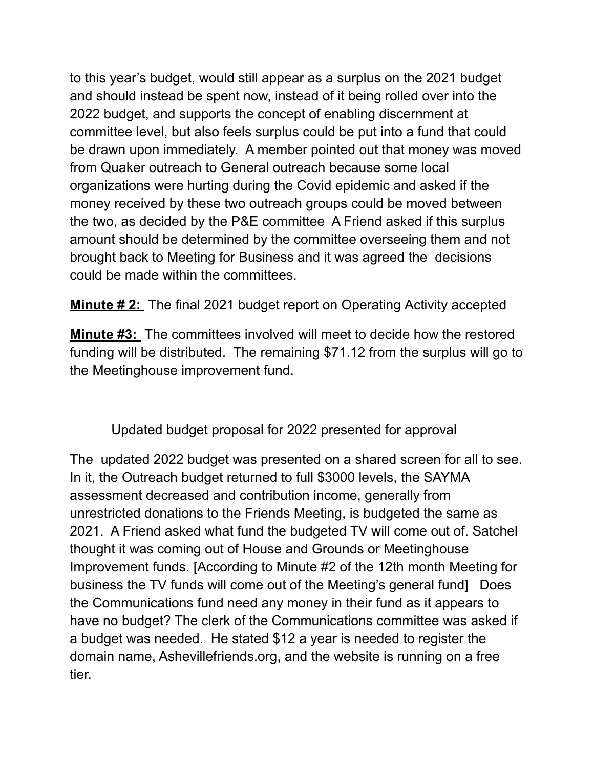to this year's budget, would still appear as a surplus on the 2021 budget and should instead be spent now, instead of it being rolled over into the 2022 budget, and supports the concept of enabling discernment at committee level, but also feels surplus could be put into a fund that could be drawn upon immediately. A member pointed out that money was moved from Quaker outreach to General outreach because some local organizations were hurting during the Covid epidemic and asked if the money received by these two outreach groups could be moved between the two, as decided by the P&E committee A Friend asked if this surplus amount should be determined by the committee overseeing them and not brought back to Meeting for Business and it was agreed the decisions could be made within the committees.

**Minute # 2:** The final 2021 budget report on Operating Activity accepted

**Minute #3:** The committees involved will meet to decide how the restored funding will be distributed. The remaining \$71.12 from the surplus will go to the Meetinghouse improvement fund.

Updated budget proposal for 2022 presented for approval

The updated 2022 budget was presented on a shared screen for all to see. In it, the Outreach budget returned to full \$3000 levels, the SAYMA assessment decreased and contribution income, generally from unrestricted donations to the Friends Meeting, is budgeted the same as 2021. A Friend asked what fund the budgeted TV will come out of. Satchel thought it was coming out of House and Grounds or Meetinghouse Improvement funds. [According to Minute #2 of the 12th month Meeting for business the TV funds will come out of the Meeting's general fund] Does the Communications fund need any money in their fund as it appears to have no budget? The clerk of the Communications committee was asked if a budget was needed. He stated \$12 a year is needed to register the domain name, Ashevillefriends.org, and the website is running on a free tier.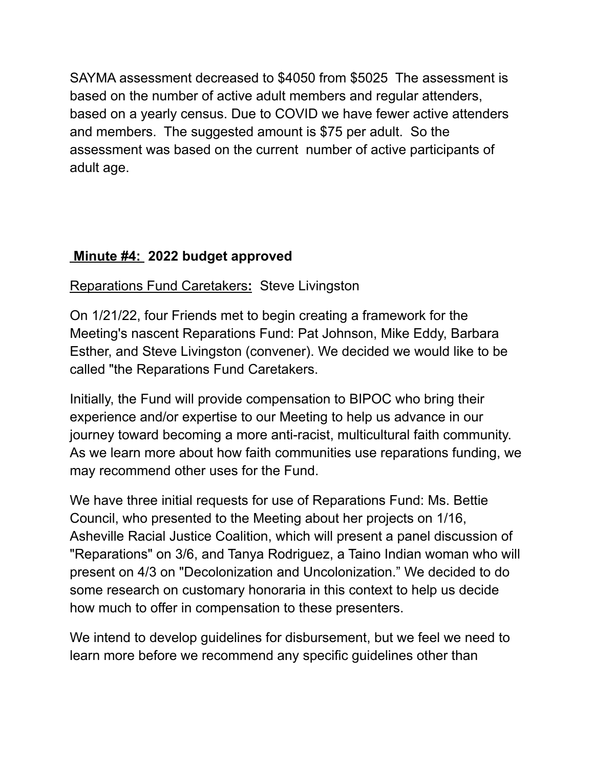SAYMA assessment decreased to \$4050 from \$5025 The assessment is based on the number of active adult members and regular attenders, based on a yearly census. Due to COVID we have fewer active attenders and members. The suggested amount is \$75 per adult. So the assessment was based on the current number of active participants of adult age.

# **Minute #4: 2022 budget approved**

Reparations Fund Caretakers**:** Steve Livingston

On 1/21/22, four Friends met to begin creating a framework for the Meeting's nascent Reparations Fund: Pat Johnson, Mike Eddy, Barbara Esther, and Steve Livingston (convener). We decided we would like to be called "the Reparations Fund Caretakers.

Initially, the Fund will provide compensation to BIPOC who bring their experience and/or expertise to our Meeting to help us advance in our journey toward becoming a more anti-racist, multicultural faith community. As we learn more about how faith communities use reparations funding, we may recommend other uses for the Fund.

We have three initial requests for use of Reparations Fund: Ms. Bettie Council, who presented to the Meeting about her projects on 1/16, Asheville Racial Justice Coalition, which will present a panel discussion of "Reparations" on 3/6, and Tanya Rodriguez, a Taino Indian woman who will present on 4/3 on "Decolonization and Uncolonization." We decided to do some research on customary honoraria in this context to help us decide how much to offer in compensation to these presenters.

We intend to develop guidelines for disbursement, but we feel we need to learn more before we recommend any specific guidelines other than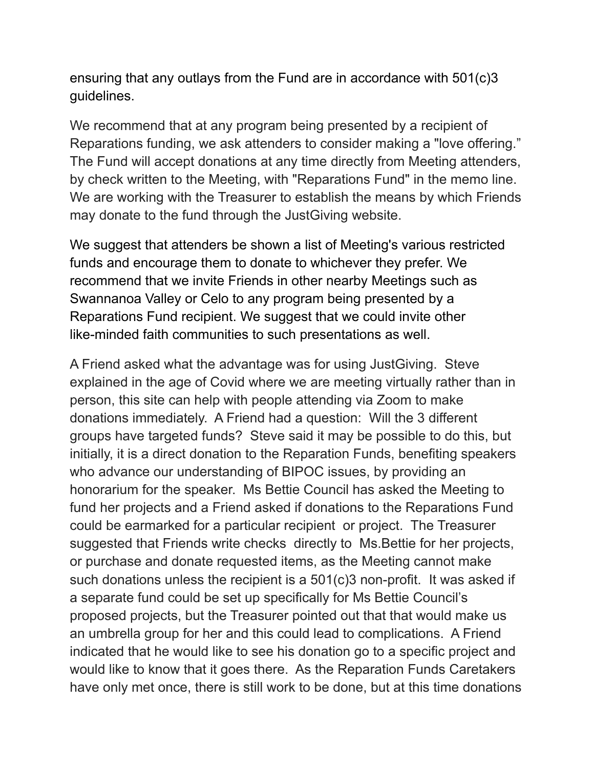ensuring that any outlays from the Fund are in accordance with 501(c)3 guidelines.

We recommend that at any program being presented by a recipient of Reparations funding, we ask attenders to consider making a "love offering." The Fund will accept donations at any time directly from Meeting attenders, by check written to the Meeting, with "Reparations Fund" in the memo line. We are working with the Treasurer to establish the means by which Friends may donate to the fund through the JustGiving website.

We suggest that attenders be shown a list of Meeting's various restricted funds and encourage them to donate to whichever they prefer. We recommend that we invite Friends in other nearby Meetings such as Swannanoa Valley or Celo to any program being presented by a Reparations Fund recipient. We suggest that we could invite other like-minded faith communities to such presentations as well.

A Friend asked what the advantage was for using JustGiving. Steve explained in the age of Covid where we are meeting virtually rather than in person, this site can help with people attending via Zoom to make donations immediately. A Friend had a question: Will the 3 different groups have targeted funds? Steve said it may be possible to do this, but initially, it is a direct donation to the Reparation Funds, benefiting speakers who advance our understanding of BIPOC issues, by providing an honorarium for the speaker. Ms Bettie Council has asked the Meeting to fund her projects and a Friend asked if donations to the Reparations Fund could be earmarked for a particular recipient or project. The Treasurer suggested that Friends write checks directly to Ms.Bettie for her projects, or purchase and donate requested items, as the Meeting cannot make such donations unless the recipient is a 501(c)3 non-profit. It was asked if a separate fund could be set up specifically for Ms Bettie Council's proposed projects, but the Treasurer pointed out that that would make us an umbrella group for her and this could lead to complications. A Friend indicated that he would like to see his donation go to a specific project and would like to know that it goes there. As the Reparation Funds Caretakers have only met once, there is still work to be done, but at this time donations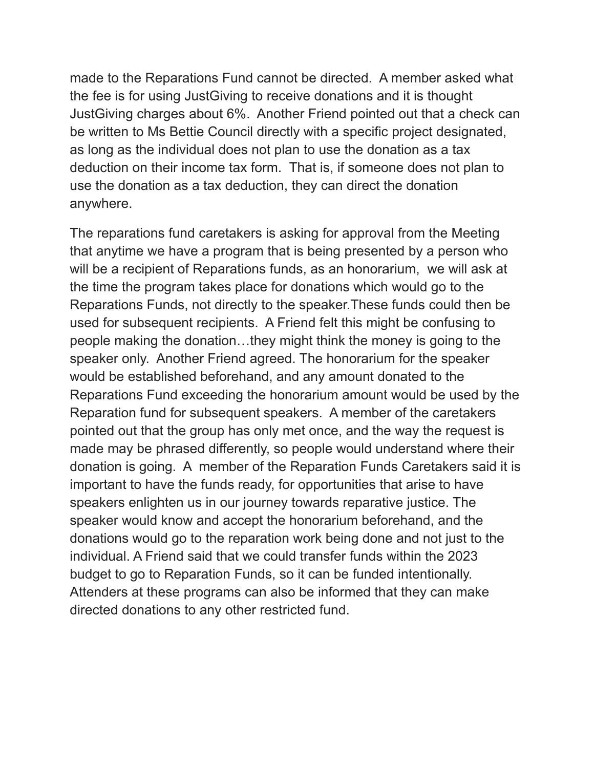made to the Reparations Fund cannot be directed. A member asked what the fee is for using JustGiving to receive donations and it is thought JustGiving charges about 6%. Another Friend pointed out that a check can be written to Ms Bettie Council directly with a specific project designated, as long as the individual does not plan to use the donation as a tax deduction on their income tax form. That is, if someone does not plan to use the donation as a tax deduction, they can direct the donation anywhere.

The reparations fund caretakers is asking for approval from the Meeting that anytime we have a program that is being presented by a person who will be a recipient of Reparations funds, as an honorarium, we will ask at the time the program takes place for donations which would go to the Reparations Funds, not directly to the speaker.These funds could then be used for subsequent recipients. A Friend felt this might be confusing to people making the donation…they might think the money is going to the speaker only. Another Friend agreed. The honorarium for the speaker would be established beforehand, and any amount donated to the Reparations Fund exceeding the honorarium amount would be used by the Reparation fund for subsequent speakers. A member of the caretakers pointed out that the group has only met once, and the way the request is made may be phrased differently, so people would understand where their donation is going. A member of the Reparation Funds Caretakers said it is important to have the funds ready, for opportunities that arise to have speakers enlighten us in our journey towards reparative justice. The speaker would know and accept the honorarium beforehand, and the donations would go to the reparation work being done and not just to the individual. A Friend said that we could transfer funds within the 2023 budget to go to Reparation Funds, so it can be funded intentionally. Attenders at these programs can also be informed that they can make directed donations to any other restricted fund.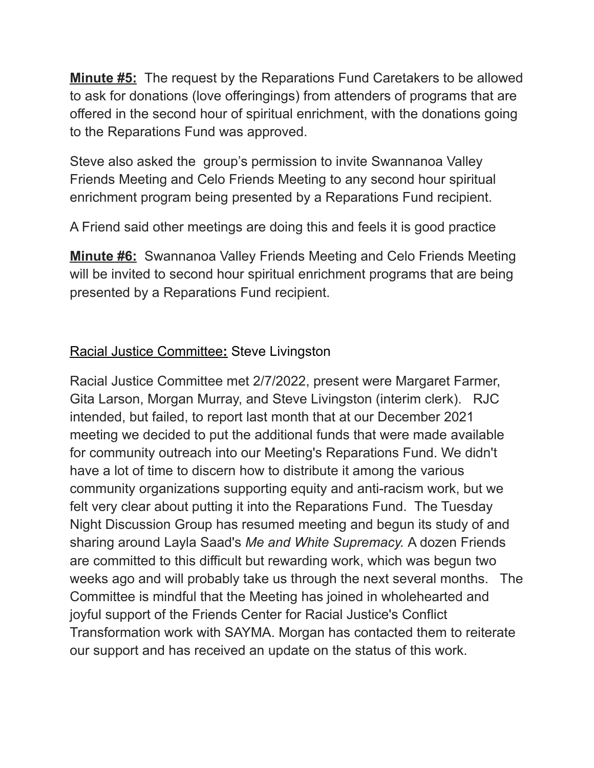**Minute #5:** The request by the Reparations Fund Caretakers to be allowed to ask for donations (love offeringings) from attenders of programs that are offered in the second hour of spiritual enrichment, with the donations going to the Reparations Fund was approved.

Steve also asked the group's permission to invite Swannanoa Valley Friends Meeting and Celo Friends Meeting to any second hour spiritual enrichment program being presented by a Reparations Fund recipient.

A Friend said other meetings are doing this and feels it is good practice

**Minute #6:** Swannanoa Valley Friends Meeting and Celo Friends Meeting will be invited to second hour spiritual enrichment programs that are being presented by a Reparations Fund recipient.

# Racial Justice Committee**:** Steve Livingston

Racial Justice Committee met 2/7/2022, present were Margaret Farmer, Gita Larson, Morgan Murray, and Steve Livingston (interim clerk). RJC intended, but failed, to report last month that at our December 2021 meeting we decided to put the additional funds that were made available for community outreach into our Meeting's Reparations Fund. We didn't have a lot of time to discern how to distribute it among the various community organizations supporting equity and anti-racism work, but we felt very clear about putting it into the Reparations Fund. The Tuesday Night Discussion Group has resumed meeting and begun its study of and sharing around Layla Saad's *Me and White Supremacy.* A dozen Friends are committed to this difficult but rewarding work, which was begun two weeks ago and will probably take us through the next several months. The Committee is mindful that the Meeting has joined in wholehearted and joyful support of the Friends Center for Racial Justice's Conflict Transformation work with SAYMA. Morgan has contacted them to reiterate our support and has received an update on the status of this work.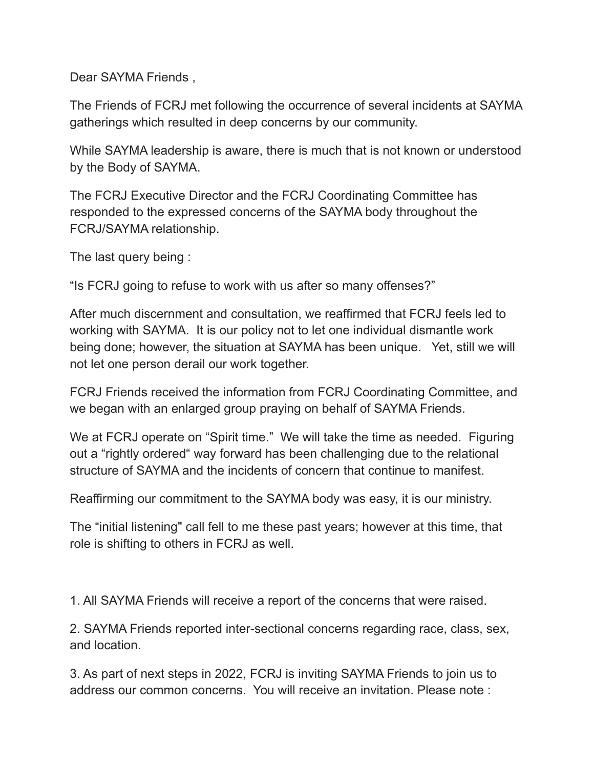Dear SAYMA Friends ,

The Friends of FCRJ met following the occurrence of several incidents at SAYMA gatherings which resulted in deep concerns by our community.

While SAYMA leadership is aware, there is much that is not known or understood by the Body of SAYMA.

The FCRJ Executive Director and the FCRJ Coordinating Committee has responded to the expressed concerns of the SAYMA body throughout the FCRJ/SAYMA relationship.

The last query being :

"Is FCRJ going to refuse to work with us after so many offenses?"

After much discernment and consultation, we reaffirmed that FCRJ feels led to working with SAYMA. It is our policy not to let one individual dismantle work being done; however, the situation at SAYMA has been unique. Yet, still we will not let one person derail our work together.

FCRJ Friends received the information from FCRJ Coordinating Committee, and we began with an enlarged group praying on behalf of SAYMA Friends.

We at FCRJ operate on "Spirit time." We will take the time as needed. Figuring out a "rightly ordered" way forward has been challenging due to the relational structure of SAYMA and the incidents of concern that continue to manifest.

Reaffirming our commitment to the SAYMA body was easy, it is our ministry.

The "initial listening" call fell to me these past years; however at this time, that role is shifting to others in FCRJ as well.

1. All SAYMA Friends will receive a report of the concerns that were raised.

2. SAYMA Friends reported inter-sectional concerns regarding race, class, sex, and location.

3. As part of next steps in 2022, FCRJ is inviting SAYMA Friends to join us to address our common concerns. You will receive an invitation. Please note :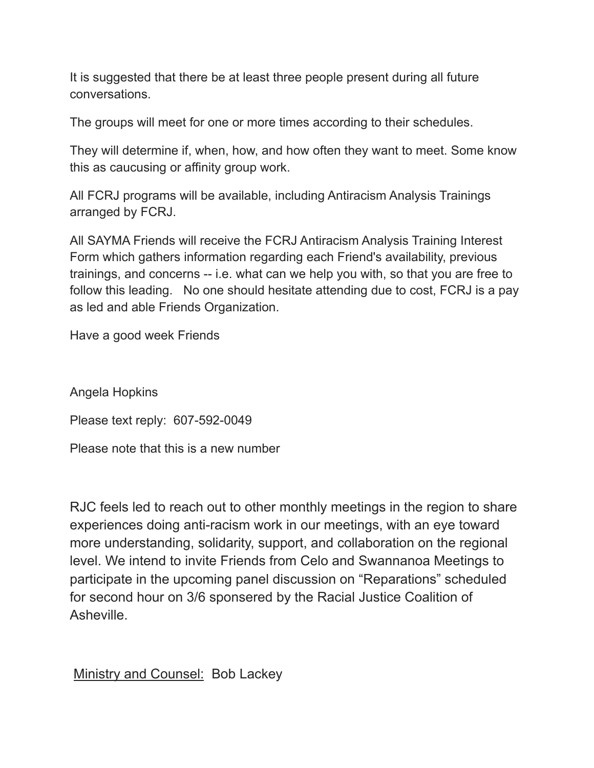It is suggested that there be at least three people present during all future conversations.

The groups will meet for one or more times according to their schedules.

They will determine if, when, how, and how often they want to meet. Some know this as caucusing or affinity group work.

All FCRJ programs will be available, including Antiracism Analysis Trainings arranged by FCRJ.

All SAYMA Friends will receive the FCRJ Antiracism Analysis Training Interest Form which gathers information regarding each Friend's availability, previous trainings, and concerns -- i.e. what can we help you with, so that you are free to follow this leading. No one should hesitate attending due to cost, FCRJ is a pay as led and able Friends Organization.

Have a good week Friends

Angela Hopkins

Please text reply: 607-592-0049

Please note that this is a new number

RJC feels led to reach out to other monthly meetings in the region to share experiences doing anti-racism work in our meetings, with an eye toward more understanding, solidarity, support, and collaboration on the regional level. We intend to invite Friends from Celo and Swannanoa Meetings to participate in the upcoming panel discussion on "Reparations" scheduled for second hour on 3/6 sponsered by the Racial Justice Coalition of Asheville.

Ministry and Counsel: Bob Lackey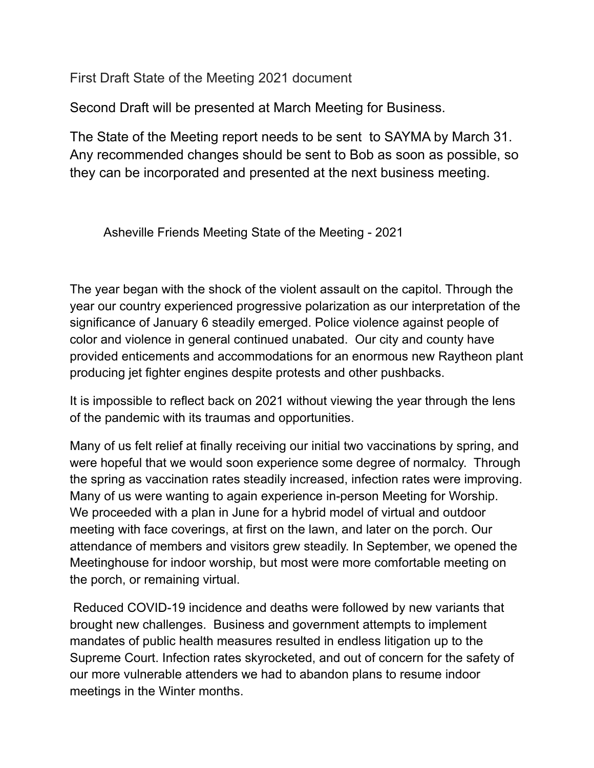First Draft State of the Meeting 2021 document

Second Draft will be presented at March Meeting for Business.

The State of the Meeting report needs to be sent to SAYMA by March 31. Any recommended changes should be sent to Bob as soon as possible, so they can be incorporated and presented at the next business meeting.

Asheville Friends Meeting State of the Meeting - 2021

The year began with the shock of the violent assault on the capitol. Through the year our country experienced progressive polarization as our interpretation of the significance of January 6 steadily emerged. Police violence against people of color and violence in general continued unabated. Our city and county have provided enticements and accommodations for an enormous new Raytheon plant producing jet fighter engines despite protests and other pushbacks.

It is impossible to reflect back on 2021 without viewing the year through the lens of the pandemic with its traumas and opportunities.

Many of us felt relief at finally receiving our initial two vaccinations by spring, and were hopeful that we would soon experience some degree of normalcy. Through the spring as vaccination rates steadily increased, infection rates were improving. Many of us were wanting to again experience in-person Meeting for Worship. We proceeded with a plan in June for a hybrid model of virtual and outdoor meeting with face coverings, at first on the lawn, and later on the porch. Our attendance of members and visitors grew steadily. In September, we opened the Meetinghouse for indoor worship, but most were more comfortable meeting on the porch, or remaining virtual.

Reduced COVID-19 incidence and deaths were followed by new variants that brought new challenges. Business and government attempts to implement mandates of public health measures resulted in endless litigation up to the Supreme Court. Infection rates skyrocketed, and out of concern for the safety of our more vulnerable attenders we had to abandon plans to resume indoor meetings in the Winter months.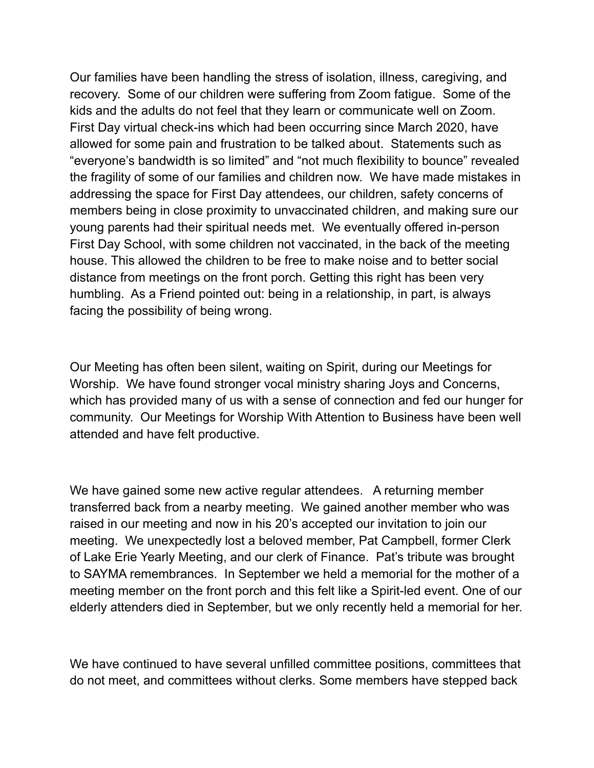Our families have been handling the stress of isolation, illness, caregiving, and recovery. Some of our children were suffering from Zoom fatigue. Some of the kids and the adults do not feel that they learn or communicate well on Zoom. First Day virtual check-ins which had been occurring since March 2020, have allowed for some pain and frustration to be talked about. Statements such as "everyone's bandwidth is so limited" and "not much flexibility to bounce" revealed the fragility of some of our families and children now. We have made mistakes in addressing the space for First Day attendees, our children, safety concerns of members being in close proximity to unvaccinated children, and making sure our young parents had their spiritual needs met. We eventually offered in-person First Day School, with some children not vaccinated, in the back of the meeting house. This allowed the children to be free to make noise and to better social distance from meetings on the front porch. Getting this right has been very humbling. As a Friend pointed out: being in a relationship, in part, is always facing the possibility of being wrong.

Our Meeting has often been silent, waiting on Spirit, during our Meetings for Worship. We have found stronger vocal ministry sharing Joys and Concerns, which has provided many of us with a sense of connection and fed our hunger for community. Our Meetings for Worship With Attention to Business have been well attended and have felt productive.

We have gained some new active regular attendees. A returning member transferred back from a nearby meeting. We gained another member who was raised in our meeting and now in his 20's accepted our invitation to join our meeting. We unexpectedly lost a beloved member, Pat Campbell, former Clerk of Lake Erie Yearly Meeting, and our clerk of Finance. Pat's tribute was brought to SAYMA remembrances. In September we held a memorial for the mother of a meeting member on the front porch and this felt like a Spirit-led event. One of our elderly attenders died in September, but we only recently held a memorial for her.

We have continued to have several unfilled committee positions, committees that do not meet, and committees without clerks. Some members have stepped back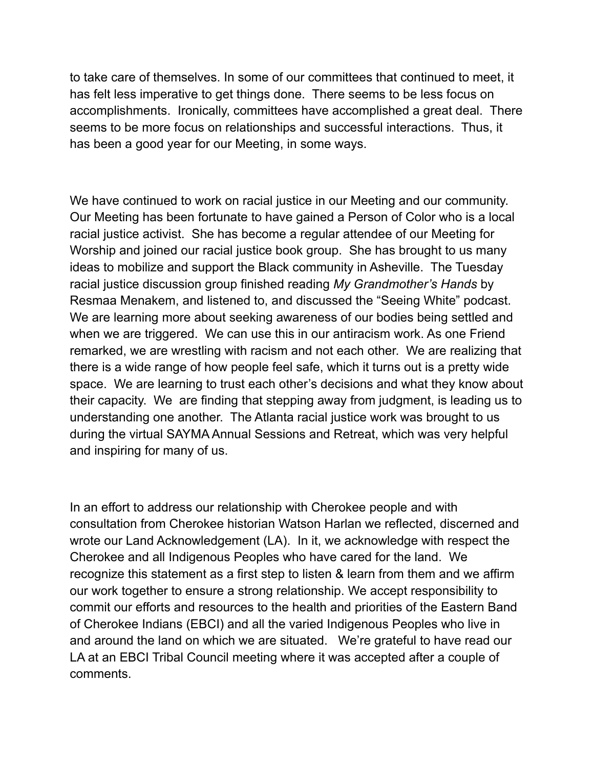to take care of themselves. In some of our committees that continued to meet, it has felt less imperative to get things done. There seems to be less focus on accomplishments. Ironically, committees have accomplished a great deal. There seems to be more focus on relationships and successful interactions. Thus, it has been a good year for our Meeting, in some ways.

We have continued to work on racial justice in our Meeting and our community. Our Meeting has been fortunate to have gained a Person of Color who is a local racial justice activist. She has become a regular attendee of our Meeting for Worship and joined our racial justice book group. She has brought to us many ideas to mobilize and support the Black community in Asheville. The Tuesday racial justice discussion group finished reading *My Grandmother's Hands* by Resmaa Menakem, and listened to, and discussed the "Seeing White" podcast. We are learning more about seeking awareness of our bodies being settled and when we are triggered. We can use this in our antiracism work. As one Friend remarked, we are wrestling with racism and not each other. We are realizing that there is a wide range of how people feel safe, which it turns out is a pretty wide space. We are learning to trust each other's decisions and what they know about their capacity. We are finding that stepping away from judgment, is leading us to understanding one another. The Atlanta racial justice work was brought to us during the virtual SAYMA Annual Sessions and Retreat, which was very helpful and inspiring for many of us.

In an effort to address our relationship with Cherokee people and with consultation from Cherokee historian Watson Harlan we reflected, discerned and wrote our Land Acknowledgement (LA). In it, we acknowledge with respect the Cherokee and all Indigenous Peoples who have cared for the land. We recognize this statement as a first step to listen & learn from them and we affirm our work together to ensure a strong relationship. We accept responsibility to commit our efforts and resources to the health and priorities of the Eastern Band of Cherokee Indians (EBCI) and all the varied Indigenous Peoples who live in and around the land on which we are situated. We're grateful to have read our LA at an EBCI Tribal Council meeting where it was accepted after a couple of comments.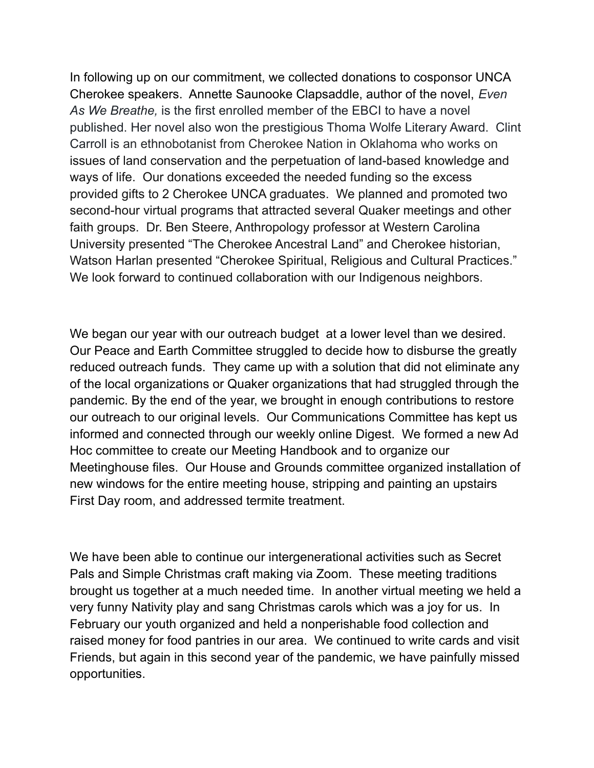In following up on our commitment, we collected donations to cosponsor UNCA Cherokee speakers. Annette Saunooke Clapsaddle, author of the novel, *Even As We Breathe,* is the first enrolled member of the EBCI to have a novel published. Her novel also won the prestigious Thoma Wolfe Literary Award. Clint Carroll is an ethnobotanist from Cherokee Nation in Oklahoma who works on issues of land conservation and the perpetuation of land-based knowledge and ways of life. Our donations exceeded the needed funding so the excess provided gifts to 2 Cherokee UNCA graduates. We planned and promoted two second-hour virtual programs that attracted several Quaker meetings and other faith groups. Dr. Ben Steere, Anthropology professor at Western Carolina University presented "The Cherokee Ancestral Land" and Cherokee historian, Watson Harlan presented "Cherokee Spiritual, Religious and Cultural Practices." We look forward to continued collaboration with our Indigenous neighbors.

We began our year with our outreach budget at a lower level than we desired. Our Peace and Earth Committee struggled to decide how to disburse the greatly reduced outreach funds. They came up with a solution that did not eliminate any of the local organizations or Quaker organizations that had struggled through the pandemic. By the end of the year, we brought in enough contributions to restore our outreach to our original levels. Our Communications Committee has kept us informed and connected through our weekly online Digest. We formed a new Ad Hoc committee to create our Meeting Handbook and to organize our Meetinghouse files. Our House and Grounds committee organized installation of new windows for the entire meeting house, stripping and painting an upstairs First Day room, and addressed termite treatment.

We have been able to continue our intergenerational activities such as Secret Pals and Simple Christmas craft making via Zoom. These meeting traditions brought us together at a much needed time. In another virtual meeting we held a very funny Nativity play and sang Christmas carols which was a joy for us. In February our youth organized and held a nonperishable food collection and raised money for food pantries in our area. We continued to write cards and visit Friends, but again in this second year of the pandemic, we have painfully missed opportunities.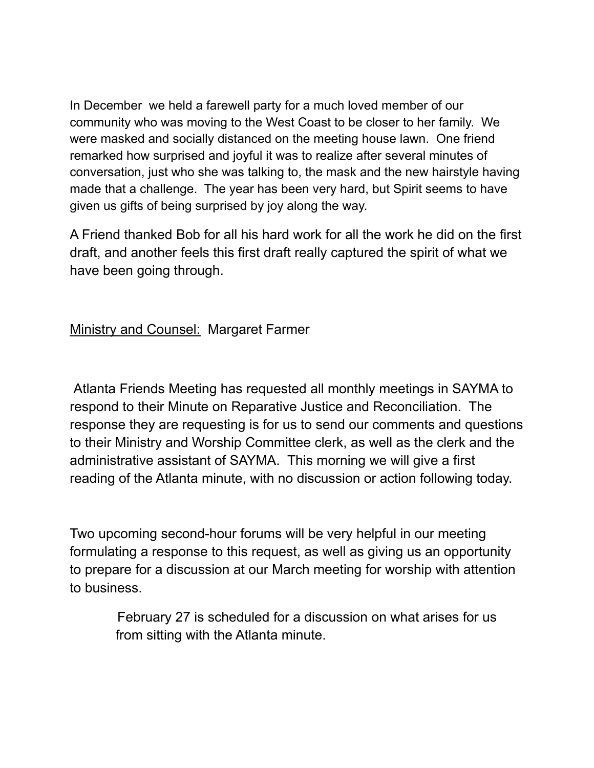In December we held a farewell party for a much loved member of our community who was moving to the West Coast to be closer to her family. We were masked and socially distanced on the meeting house lawn. One friend remarked how surprised and joyful it was to realize after several minutes of conversation, just who she was talking to, the mask and the new hairstyle having made that a challenge. The year has been very hard, but Spirit seems to have given us gifts of being surprised by joy along the way.

A Friend thanked Bob for all his hard work for all the work he did on the first draft, and another feels this first draft really captured the spirit of what we have been going through.

### **Ministry and Counsel: Margaret Farmer**

Atlanta Friends Meeting has requested all monthly meetings in SAYMA to respond to their Minute on Reparative Justice and Reconciliation. The response they are requesting is for us to send our comments and questions to their Ministry and Worship Committee clerk, as well as the clerk and the administrative assistant of SAYMA. This morning we will give a first reading of the Atlanta minute, with no discussion or action following today.

Two upcoming second-hour forums will be very helpful in our meeting formulating a response to this request, as well as giving us an opportunity to prepare for a discussion at our March meeting for worship with attention to business.

> February 27 is scheduled for a discussion on what arises for us from sitting with the Atlanta minute.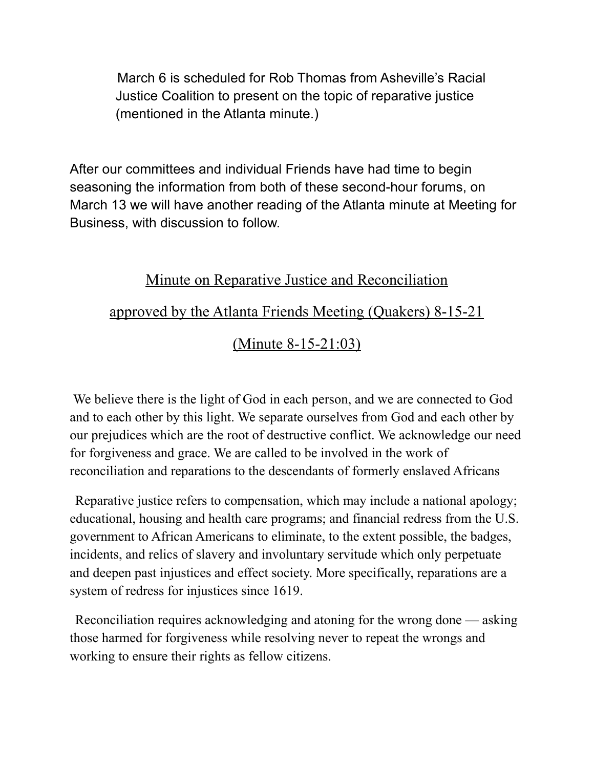March 6 is scheduled for Rob Thomas from Asheville's Racial Justice Coalition to present on the topic of reparative justice (mentioned in the Atlanta minute.)

After our committees and individual Friends have had time to begin seasoning the information from both of these second-hour forums, on March 13 we will have another reading of the Atlanta minute at Meeting for Business, with discussion to follow.

# Minute on Reparative Justice and Reconciliation

## approved by the Atlanta Friends Meeting (Quakers) 8-15-21

(Minute 8-15-21:03)

We believe there is the light of God in each person, and we are connected to God and to each other by this light. We separate ourselves from God and each other by our prejudices which are the root of destructive conflict. We acknowledge our need for forgiveness and grace. We are called to be involved in the work of reconciliation and reparations to the descendants of formerly enslaved Africans

Reparative justice refers to compensation, which may include a national apology; educational, housing and health care programs; and financial redress from the U.S. government to African Americans to eliminate, to the extent possible, the badges, incidents, and relics of slavery and involuntary servitude which only perpetuate and deepen past injustices and effect society. More specifically, reparations are a system of redress for injustices since 1619.

Reconciliation requires acknowledging and atoning for the wrong done — asking those harmed for forgiveness while resolving never to repeat the wrongs and working to ensure their rights as fellow citizens.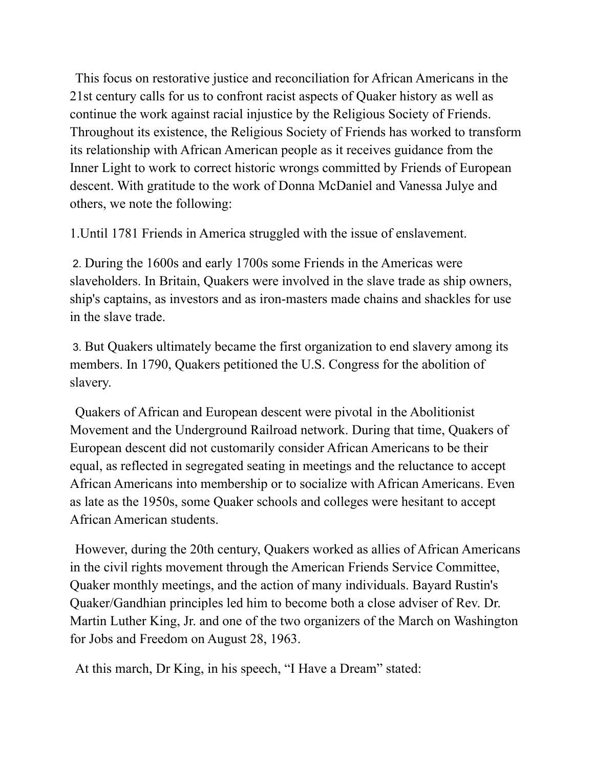This focus on restorative justice and reconciliation for African Americans in the 21st century calls for us to confront racist aspects of Quaker history as well as continue the work against racial injustice by the Religious Society of Friends. Throughout its existence, the Religious Society of Friends has worked to transform its relationship with African American people as it receives guidance from the Inner Light to work to correct historic wrongs committed by Friends of European descent. With gratitude to the work of Donna McDaniel and Vanessa Julye and others, we note the following:

1.Until 1781 Friends in America struggled with the issue of enslavement.

2. During the 1600s and early 1700s some Friends in the Americas were slaveholders. In Britain, Quakers were involved in the slave trade as ship owners, ship's captains, as investors and as iron-masters made chains and shackles for use in the slave trade.

3. But Quakers ultimately became the first organization to end slavery among its members. In 1790, Quakers petitioned the U.S. Congress for the abolition of slavery.

Quakers of African and European descent were pivotal in the Abolitionist Movement and the Underground Railroad network. During that time, Quakers of European descent did not customarily consider African Americans to be their equal, as reflected in segregated seating in meetings and the reluctance to accept African Americans into membership or to socialize with African Americans. Even as late as the 1950s, some Quaker schools and colleges were hesitant to accept African American students.

However, during the 20th century, Quakers worked as allies of African Americans in the civil rights movement through the American Friends Service Committee, Quaker monthly meetings, and the action of many individuals. Bayard Rustin's Quaker/Gandhian principles led him to become both a close adviser of Rev. Dr. Martin Luther King, Jr. and one of the two organizers of the March on Washington for Jobs and Freedom on August 28, 1963.

At this march, Dr King, in his speech, "I Have a Dream" stated: